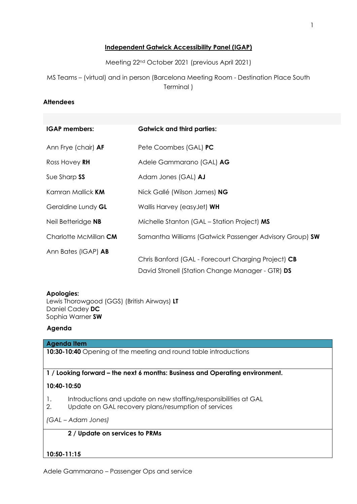# **Independent Gatwick Accessibility Panel (IGAP)**

Meeting 22nd October 2021 (previous April 2021)

MS Teams – (virtual) and in person (Barcelona Meeting Room - Destination Place South Terminal )

### **Attendees**

| <b>IGAP</b> members:       | <b>Gatwick and third parties:</b>                                                                       |
|----------------------------|---------------------------------------------------------------------------------------------------------|
| Ann Frye (chair) <b>AF</b> | Pete Coombes (GAL) PC                                                                                   |
| Ross Hovey RH              | Adele Gammarano (GAL) AG                                                                                |
| Sue Sharp SS               | Adam Jones (GAL) AJ                                                                                     |
| Kamran Mallick <b>KM</b>   | Nick Gallé (Wilson James) NG                                                                            |
| Geraldine Lundy GL         | Wallis Harvey (easyJet) WH                                                                              |
| Neil Betteridge NB         | Michelle Stanton (GAL – Station Project) MS                                                             |
| Charlotte McMillan CM      | Samantha Williams (Gatwick Passenger Advisory Group) SW                                                 |
| Ann Bates (IGAP) <b>AB</b> | Chris Banford (GAL - Forecourt Charging Project) CB<br>David Stronell (Station Change Manager - GTR) DS |

### **Apologies:**

Lewis Thorowgood (GGS) (British Airways) **LT** Daniel Cadey **DC** Sophia Warner **SW**

### **Agenda**

### **Agenda Item**

**10:30-10:40** Opening of the meeting and round table introductions

### **1 / Looking forward – the next 6 months: Business and Operating environment.**

### **10:40-10:50**

- 1. Introductions and update on new staffing/responsibilities at GAL
- 2. Update on GAL recovery plans/resumption of services

*(GAL – Adam Jones)*

### **2 / Update on services to PRMs**

# **10:50-11:15**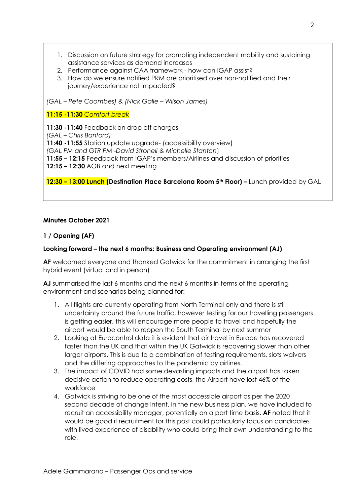1. Discussion on future strategy for promoting independent mobility and sustaining assistance services as demand increases

- 2. Performance against CAA framework how can IGAP assist?
- 3. How do we ensure notified PRM are prioritised over non-notified and their journey/experience not impacted?

*(GAL – Pete Coombes) & (Nick Galle – Wilson James)* 

**11:15 -11:30** *Comfort break*

**11:30 -11:40** Feedback on drop off charges

*(GAL – Chris Banford)*

**11:40 -11:55** Station update upgrade- (accessibility overview)

*(GAL PM and GTR PM -David Stronell & Michelle Stanton*)

**11:55 – 12:15** Feedback from IGAP's members/Airlines and discussion of priorities

**12:15 – 12:30** AOB and next meeting

**12:30 – 13:00 Lunch (Destination Place Barcelona Room 5th Floor) –** Lunch provided by GAL

# **Minutes October 2021**

# **1 / Opening (AF)**

# **Looking forward – the next 6 months: Business and Operating environment (AJ)**

**AF** welcomed everyone and thanked Gatwick for the commitment in arranging the first hybrid event (virtual and in person)

**AJ** summarised the last 6 months and the next 6 months in terms of the operating environment and scenarios being planned for:

- 1. All flights are currently operating from North Terminal only and there is still uncertainty around the future traffic, however testing for our travelling passengers is getting easier, this will encourage more people to travel and hopefully the airport would be able to reopen the South Terminal by next summer
- 2. Looking at Eurocontrol data it is evident that air travel in Europe has recovered faster than the UK and that within the UK Gatwick is recovering slower than other larger airports. This is due to a combination of testing requirements, slots waivers and the differing approaches to the pandemic by airlines.
- 3. The impact of COVID had some devasting impacts and the airport has taken decisive action to reduce operating costs, the Airport have lost 46% of the workforce
- 4. Gatwick is striving to be one of the most accessible airport as per the 2020 second decade of change intent. In the new business plan, we have included to recruit an accessibility manager, potentially on a part time basis. **AF** noted that it would be good if recruitment for this post could particularly focus on candidates with lived experience of disability who could bring their own understanding to the role.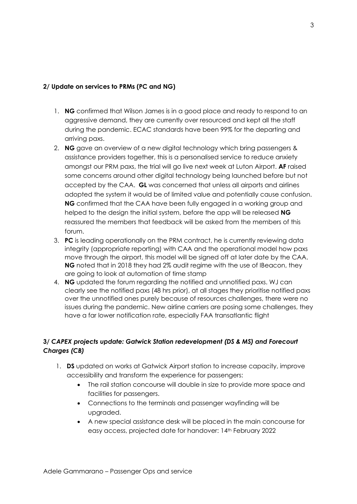# **2/ Update on services to PRMs (PC and NG)**

- 1. **NG** confirmed that Wilson James is in a good place and ready to respond to an aggressive demand, they are currently over resourced and kept all the staff during the pandemic. ECAC standards have been 99% for the departing and arriving paxs.
- 2. **NG** gave an overview of a new digital technology which bring passengers & assistance providers together, this is a personalised service to reduce anxiety amongst our PRM paxs, the trial will go live next week at Luton Airport. **AF** raised some concerns around other digital technology being launched before but not accepted by the CAA. **GL** was concerned that unless all airports and airlines adopted the system it would be of limited value and potentially cause confusion. **NG** confirmed that the CAA have been fully engaged in a working group and helped to the design the initial system, before the app will be released **NG**  reassured the members that feedback will be asked from the members of this forum.
- 3. **PC** is leading operationally on the PRM contract, he is currently reviewing data integrity (appropriate reporting) with CAA and the operational model how paxs move through the airport, this model will be signed off at later date by the CAA. **NG** noted that in 2018 they had 2% audit regime with the use of IBeacon, they are going to look at automation of time stamp
- 4. **NG** updated the forum regarding the notified and unnotified paxs. WJ can clearly see the notified paxs (48 hrs prior), at all stages they prioritise notified paxs over the unnotified ones purely because of resources challenges, there were no issues during the pandemic. New airline carriers are posing some challenges, they have a far lower notification rate, especially FAA transatlantic flight

# **3/** *CAPEX projects update: Gatwick Station redevelopment (DS & MS) and Forecourt Charges (CB)*

- 1. **DS** updated on works at Gatwick Airport station to increase capacity, improve accessibility and transform the experience for passengers:
	- The rail station concourse will double in size to provide more space and facilities for passengers.
	- Connections to the terminals and passenger wayfinding will be upgraded.
	- A new special assistance desk will be placed in the main concourse for easy access, projected date for handover: 14th February 2022